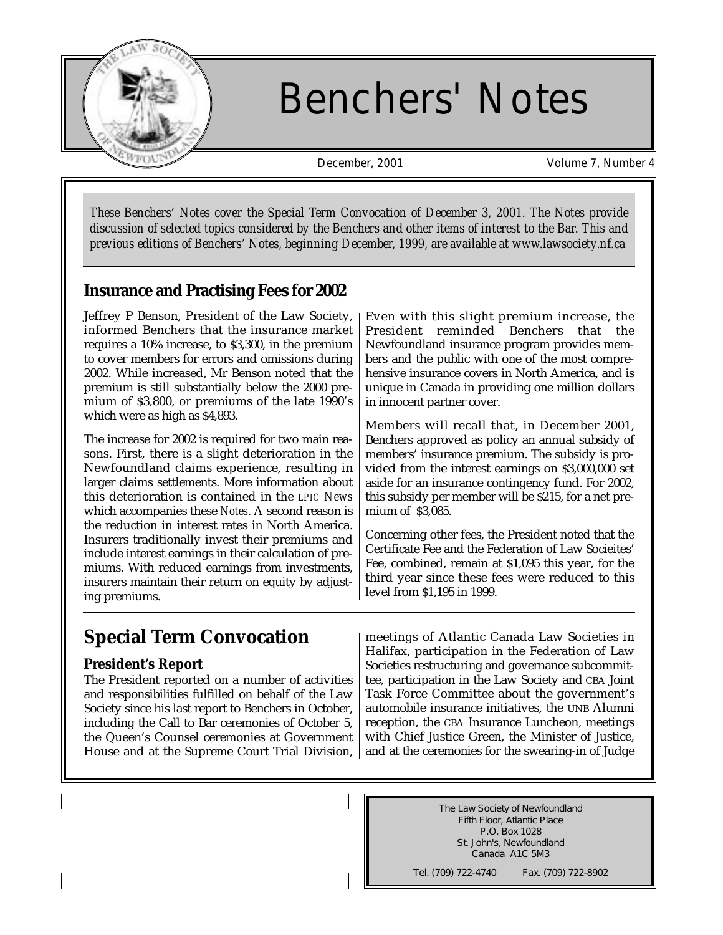

# Benchers' Notes

December, 2001 Volume 7, Number 4

*These Benchers' Notes cover the Special Term Convocation of December 3, 2001. The Notes provide discussion of selected topics considered by the Benchers and other items of interest to the Bar. This and previous editions of Benchers' Notes, beginning December, 1999, are available at www.lawsociety.nf.ca*

#### **Insurance and Practising Fees for 2002**

Jeffrey P Benson, President of the Law Society, informed Benchers that the insurance market requires a 10% increase, to \$3,300, in the premium to cover members for errors and omissions during 2002. While increased, Mr Benson noted that the premium is still substantially below the 2000 premium of \$3,800, or premiums of the late 1990's which were as high as \$4,893.

The increase for 2002 is required for two main reasons. First, there is a slight deterioration in the Newfoundland claims experience, resulting in larger claims settlements. More information about this deterioration is contained in the *LPIC News* which accompanies these *Notes*. A second reason is the reduction in interest rates in North America. Insurers traditionally invest their premiums and include interest earnings in their calculation of premiums. With reduced earnings from investments, insurers maintain their return on equity by adjusting premiums.

Even with this slight premium increase, the President reminded Benchers that the Newfoundland insurance program provides members and the public with one of the most comprehensive insurance covers in North America, and is unique in Canada in providing one million dollars in innocent partner cover.

Members will recall that, in December 2001, Benchers approved as policy an annual subsidy of members' insurance premium. The subsidy is provided from the interest earnings on \$3,000,000 set aside for an insurance contingency fund. For 2002, this subsidy per member will be \$215, for a net premium of \$3,085.

Concerning other fees, the President noted that the Certificate Fee and the Federation of Law Socieites' Fee, combined, remain at \$1,095 this year, for the third year since these fees were reduced to this level from \$1,195 in 1999.

## **Special Term Convocation**

#### **President's Report**

The President reported on a number of activities and responsibilities fulfilled on behalf of the Law Society since his last report to Benchers in October, including the Call to Bar ceremonies of October 5, the Queen's Counsel ceremonies at Government House and at the Supreme Court Trial Division,

meetings of Atlantic Canada Law Societies in Halifax, participation in the Federation of Law Societies restructuring and governance subcommittee, participation in the Law Society and CBA Joint Task Force Committee about the government's automobile insurance initiatives, the UNB Alumni reception, the CBA Insurance Luncheon, meetings with Chief Justice Green, the Minister of Justice, and at the ceremonies for the swearing-in of Judge

> The Law Society of Newfoundland Fifth Floor, Atlantic Place P.O. Box 1028 St. John's, Newfoundland Canada A1C 5M3

Tel. (709) 722-4740 Fax. (709) 722-8902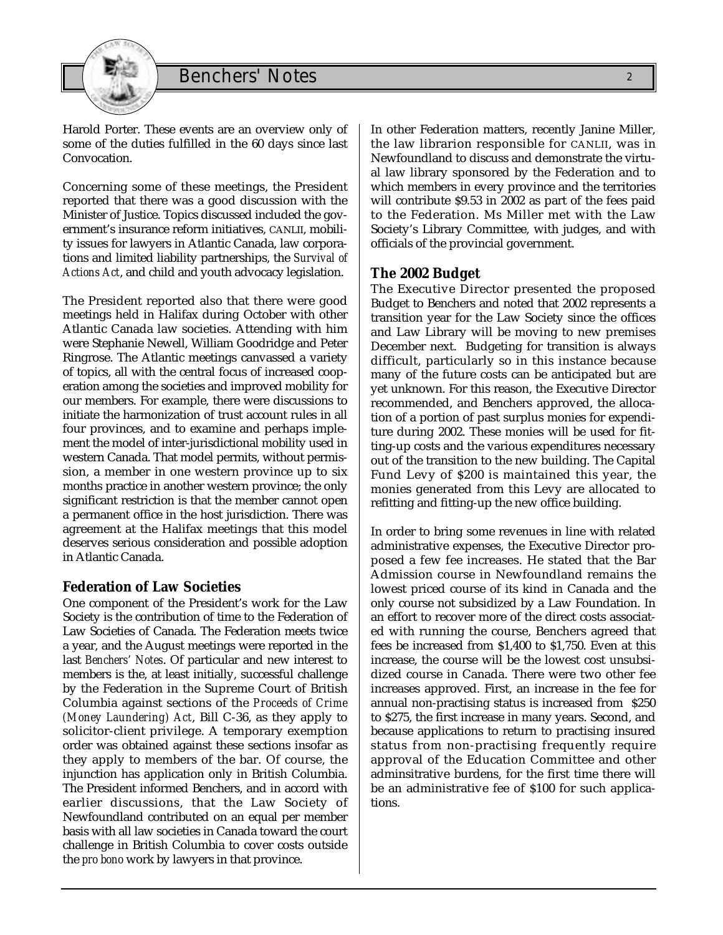

Harold Porter. These events are an overview only of some of the duties fulfilled in the 60 days since last Convocation.

Concerning some of these meetings, the President reported that there was a good discussion with the Minister of Justice. Topics discussed included the government's insurance reform initiatives, CANLII, mobility issues for lawyers in Atlantic Canada, law corporations and limited liability partnerships, the *Survival of Actions Act*, and child and youth advocacy legislation.

The President reported also that there were good meetings held in Halifax during October with other Atlantic Canada law societies. Attending with him were Stephanie Newell, William Goodridge and Peter Ringrose. The Atlantic meetings canvassed a variety of topics, all with the central focus of increased cooperation among the societies and improved mobility for our members. For example, there were discussions to initiate the harmonization of trust account rules in all four provinces, and to examine and perhaps implement the model of inter-jurisdictional mobility used in western Canada. That model permits, without permission, a member in one western province up to six months practice in another western province; the only significant restriction is that the member cannot open a permanent office in the host jurisdiction. There was agreement at the Halifax meetings that this model deserves serious consideration and possible adoption in Atlantic Canada.

#### **Federation of Law Societies**

One component of the President's work for the Law Society is the contribution of time to the Federation of Law Societies of Canada. The Federation meets twice a year, and the August meetings were reported in the last *Benchers' Notes*. Of particular and new interest to members is the, at least initially, successful challenge by the Federation in the Supreme Court of British Columbia against sections of the *Proceeds of Crime (Money Laundering) Act*, Bill C-36, as they apply to solicitor-client privilege. A temporary exemption order was obtained against these sections insofar as they apply to members of the bar. Of course, the injunction has application only in British Columbia. The President informed Benchers, and in accord with earlier discussions, that the Law Society of Newfoundland contributed on an equal per member basis with all law societies in Canada toward the court challenge in British Columbia to cover costs outside the *pro bono* work by lawyers in that province.

In other Federation matters, recently Janine Miller, the law librarion responsible for CANLII, was in Newfoundland to discuss and demonstrate the virtual law library sponsored by the Federation and to which members in every province and the territories will contribute \$9.53 in 2002 as part of the fees paid to the Federation. Ms Miller met with the Law Society's Library Committee, with judges, and with officials of the provincial government.

#### **The 2002 Budget**

The Executive Director presented the proposed Budget to Benchers and noted that 2002 represents a transition year for the Law Society since the offices and Law Library will be moving to new premises December next. Budgeting for transition is always difficult, particularly so in this instance because many of the future costs can be anticipated but are yet unknown. For this reason, the Executive Director recommended, and Benchers approved, the allocation of a portion of past surplus monies for expenditure during 2002. These monies will be used for fitting-up costs and the various expenditures necessary out of the transition to the new building. The Capital Fund Levy of \$200 is maintained this year, the monies generated from this Levy are allocated to refitting and fitting-up the new office building.

In order to bring some revenues in line with related administrative expenses, the Executive Director proposed a few fee increases. He stated that the Bar Admission course in Newfoundland remains the lowest priced course of its kind in Canada and the only course not subsidized by a Law Foundation. In an effort to recover more of the direct costs associated with running the course, Benchers agreed that fees be increased from \$1,400 to \$1,750. Even at this increase, the course will be the lowest cost unsubsidized course in Canada. There were two other fee increases approved. First, an increase in the fee for annual non-practising status is increased from \$250 to \$275, the first increase in many years. Second, and because applications to return to practising insured status from non-practising frequently require approval of the Education Committee and other adminsitrative burdens, for the first time there will be an administrative fee of \$100 for such applications.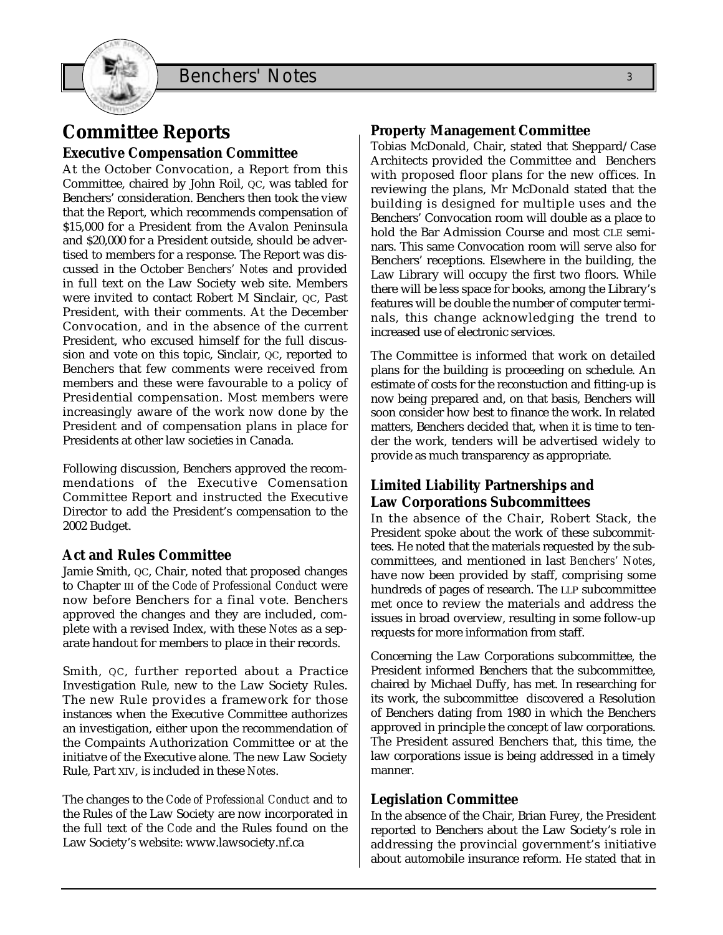## **Committee Reports**

#### **Executive Compensation Committee**

At the October Convocation, a Report from this Committee, chaired by John Roil, QC, was tabled for Benchers' consideration. Benchers then took the view that the Report, which recommends compensation of \$15,000 for a President from the Avalon Peninsula and \$20,000 for a President outside, should be advertised to members for a response. The Report was discussed in the October *Benchers' Notes* and provided in full text on the Law Society web site. Members were invited to contact Robert M Sinclair, QC, Past President, with their comments. At the December Convocation, and in the absence of the current President, who excused himself for the full discussion and vote on this topic, Sinclair, QC, reported to Benchers that few comments were received from members and these were favourable to a policy of Presidential compensation. Most members were increasingly aware of the work now done by the President and of compensation plans in place for Presidents at other law societies in Canada.

Following discussion, Benchers approved the recommendations of the Executive Comensation Committee Report and instructed the Executive Director to add the President's compensation to the 2002 Budget.

#### **Act and Rules Committee**

Jamie Smith, QC, Chair, noted that proposed changes to Chapter III of the *Code of Professional Conduct* were now before Benchers for a final vote. Benchers approved the changes and they are included, complete with a revised Index, with these *Notes* as a separate handout for members to place in their records.

Smith, QC, further reported about a Practice Investigation Rule, new to the Law Society Rules. The new Rule provides a framework for those instances when the Executive Committee authorizes an investigation, either upon the recommendation of the Compaints Authorization Committee or at the initiatve of the Executive alone. The new Law Society Rule, Part XIV, is included in these *Notes*.

The changes to the *Code of Professional Conduct* and to the Rules of the Law Society are now incorporated in the full text of the *Code* and the Rules found on the Law Society's website: www.lawsociety.nf.ca

#### **Property Management Committee**

Tobias McDonald, Chair, stated that Sheppard/Case Architects provided the Committee and Benchers with proposed floor plans for the new offices. In reviewing the plans, Mr McDonald stated that the building is designed for multiple uses and the Benchers' Convocation room will double as a place to hold the Bar Admission Course and most CLE seminars. This same Convocation room will serve also for Benchers' receptions. Elsewhere in the building, the Law Library will occupy the first two floors. While there will be less space for books, among the Library's features will be double the number of computer terminals, this change acknowledging the trend to increased use of electronic services.

The Committee is informed that work on detailed plans for the building is proceeding on schedule. An estimate of costs for the reconstuction and fitting-up is now being prepared and, on that basis, Benchers will soon consider how best to finance the work. In related matters, Benchers decided that, when it is time to tender the work, tenders will be advertised widely to provide as much transparency as appropriate.

#### **Limited Liability Partnerships and Law Corporations Subcommittees**

In the absence of the Chair, Robert Stack, the President spoke about the work of these subcommittees. He noted that the materials requested by the subcommittees, and mentioned in last *Benchers' Notes*, have now been provided by staff, comprising some hundreds of pages of research. The LLP subcommittee met once to review the materials and address the issues in broad overview, resulting in some follow-up requests for more information from staff.

Concerning the Law Corporations subcommittee, the President informed Benchers that the subcommittee, chaired by Michael Duffy, has met. In researching for its work, the subcommittee discovered a Resolution of Benchers dating from 1980 in which the Benchers approved in principle the concept of law corporations. The President assured Benchers that, this time, the law corporations issue is being addressed in a timely manner.

#### **Legislation Committee**

In the absence of the Chair, Brian Furey, the President reported to Benchers about the Law Society's role in addressing the provincial government's initiative about automobile insurance reform. He stated that in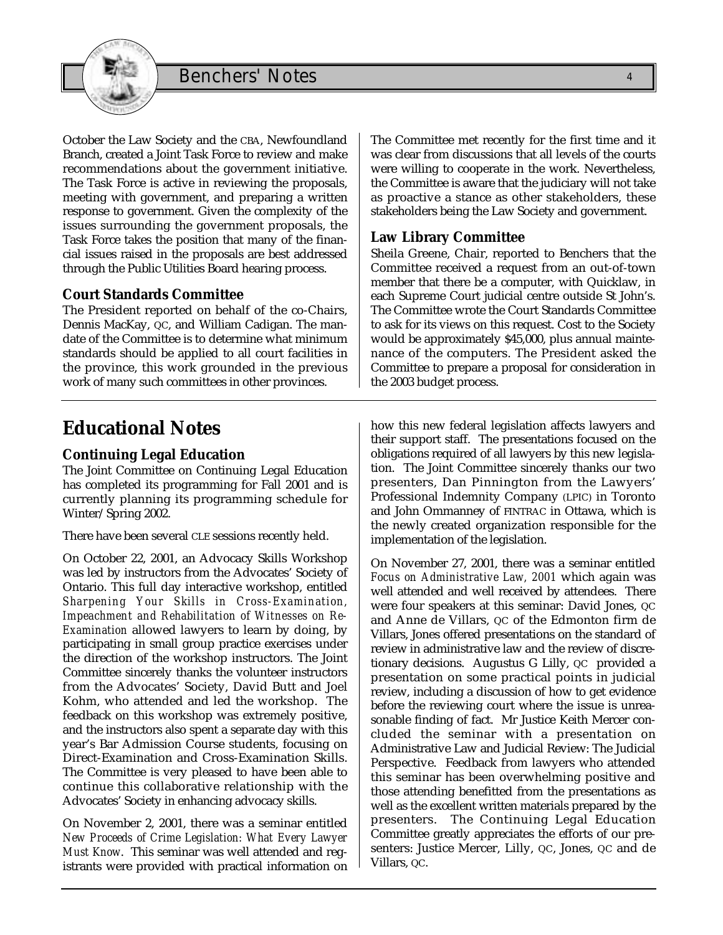

October the Law Society and the CBA, Newfoundland Branch, created a Joint Task Force to review and make recommendations about the government initiative. The Task Force is active in reviewing the proposals, meeting with government, and preparing a written response to government. Given the complexity of the issues surrounding the government proposals, the Task Force takes the position that many of the financial issues raised in the proposals are best addressed through the Public Utilities Board hearing process.

#### **Court Standards Committee**

The President reported on behalf of the co-Chairs, Dennis MacKay, QC, and William Cadigan. The mandate of the Committee is to determine what minimum standards should be applied to all court facilities in the province, this work grounded in the previous work of many such committees in other provinces.

The Committee met recently for the first time and it was clear from discussions that all levels of the courts were willing to cooperate in the work. Nevertheless, the Committee is aware that the judiciary will not take as proactive a stance as other stakeholders, these stakeholders being the Law Society and government.

#### **Law Library Committee**

Sheila Greene, Chair, reported to Benchers that the Committee received a request from an out-of-town member that there be a computer, with Quicklaw, in each Supreme Court judicial centre outside St John's. The Committee wrote the Court Standards Committee to ask for its views on this request. Cost to the Society would be approximately \$45,000, plus annual maintenance of the computers. The President asked the Committee to prepare a proposal for consideration in the 2003 budget process.

## **Educational Notes**

#### **Continuing Legal Education**

The Joint Committee on Continuing Legal Education has completed its programming for Fall 2001 and is currently planning its programming schedule for Winter/Spring 2002.

There have been several CLE sessions recently held.

On October 22, 2001, an Advocacy Skills Workshop was led by instructors from the Advocates' Society of Ontario. This full day interactive workshop, entitled *Sharpening Your Skills in Cross-Examination, Impeachment and Rehabilitation of Witnesses on Re-Examination* allowed lawyers to learn by doing, by participating in small group practice exercises under the direction of the workshop instructors. The Joint Committee sincerely thanks the volunteer instructors from the Advocates' Society, David Butt and Joel Kohm, who attended and led the workshop. The feedback on this workshop was extremely positive, and the instructors also spent a separate day with this year's Bar Admission Course students, focusing on Direct-Examination and Cross-Examination Skills. The Committee is very pleased to have been able to continue this collaborative relationship with the Advocates' Society in enhancing advocacy skills.

On November 2, 2001, there was a seminar entitled *New Proceeds of Crime Legislation: What Every Lawyer Must Know*. This seminar was well attended and registrants were provided with practical information on

how this new federal legislation affects lawyers and their support staff. The presentations focused on the obligations required of all lawyers by this new legislation. The Joint Committee sincerely thanks our two presenters, Dan Pinnington from the Lawyers' Professional Indemnity Company (LPIC) in Toronto and John Ommanney of FINTRAC in Ottawa, which is the newly created organization responsible for the implementation of the legislation.

On November 27, 2001, there was a seminar entitled *Focus on Administrative Law, 2001* which again was well attended and well received by attendees. There were four speakers at this seminar: David Jones, QC and Anne de Villars, QC of the Edmonton firm de Villars, Jones offered presentations on the standard of review in administrative law and the review of discretionary decisions. Augustus G Lilly, QC provided a presentation on some practical points in judicial review, including a discussion of how to get evidence before the reviewing court where the issue is unreasonable finding of fact. Mr Justice Keith Mercer concluded the seminar with a presentation on Administrative Law and Judicial Review: The Judicial Perspective. Feedback from lawyers who attended this seminar has been overwhelming positive and those attending benefitted from the presentations as well as the excellent written materials prepared by the presenters. The Continuing Legal Education Committee greatly appreciates the efforts of our presenters: Justice Mercer, Lilly, QC, Jones, QC and de Villars, QC.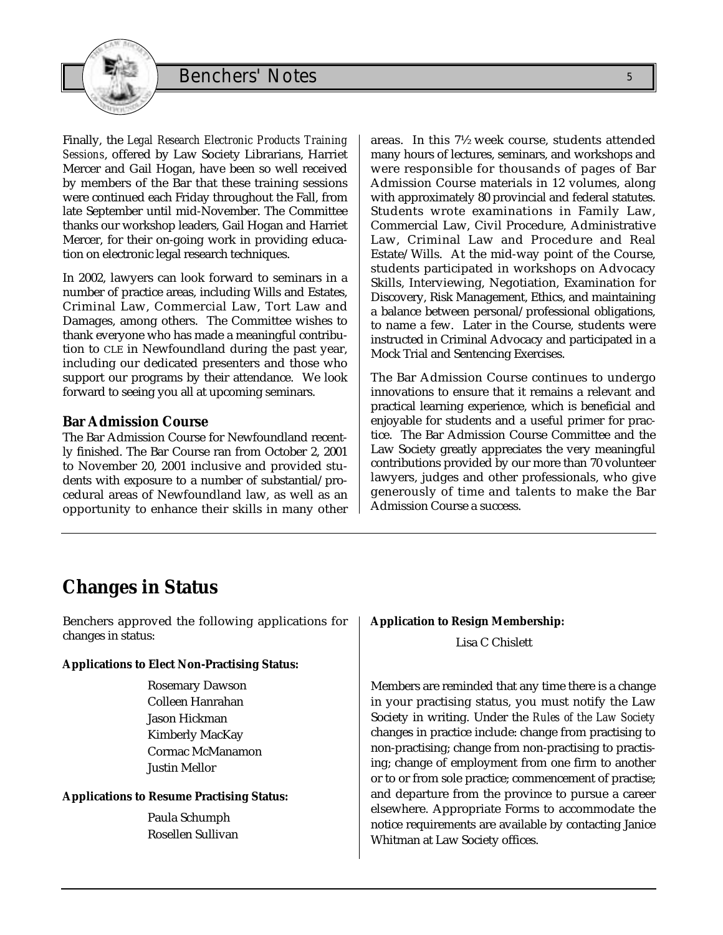

Finally, the *Legal Research Electronic Products Training Sessions*, offered by Law Society Librarians, Harriet Mercer and Gail Hogan, have been so well received by members of the Bar that these training sessions were continued each Friday throughout the Fall, from late September until mid-November. The Committee thanks our workshop leaders, Gail Hogan and Harriet Mercer, for their on-going work in providing education on electronic legal research techniques.

In 2002, lawyers can look forward to seminars in a number of practice areas, including Wills and Estates, Criminal Law, Commercial Law, Tort Law and Damages, among others. The Committee wishes to thank everyone who has made a meaningful contribution to CLE in Newfoundland during the past year, including our dedicated presenters and those who support our programs by their attendance. We look forward to seeing you all at upcoming seminars.

#### **Bar Admission Course**

The Bar Admission Course for Newfoundland recently finished. The Bar Course ran from October 2, 2001 to November 20, 2001 inclusive and provided students with exposure to a number of substantial/procedural areas of Newfoundland law, as well as an opportunity to enhance their skills in many other areas. In this 7½ week course, students attended many hours of lectures, seminars, and workshops and were responsible for thousands of pages of Bar Admission Course materials in 12 volumes, along with approximately 80 provincial and federal statutes. Students wrote examinations in Family Law, Commercial Law, Civil Procedure, Administrative Law, Criminal Law and Procedure and Real Estate/Wills. At the mid-way point of the Course, students participated in workshops on Advocacy Skills, Interviewing, Negotiation, Examination for Discovery, Risk Management, Ethics, and maintaining a balance between personal/professional obligations, to name a few. Later in the Course, students were instructed in Criminal Advocacy and participated in a Mock Trial and Sentencing Exercises.

The Bar Admission Course continues to undergo innovations to ensure that it remains a relevant and practical learning experience, which is beneficial and enjoyable for students and a useful primer for practice. The Bar Admission Course Committee and the Law Society greatly appreciates the very meaningful contributions provided by our more than 70 volunteer lawyers, judges and other professionals, who give generously of time and talents to make the Bar Admission Course a success.

## **Changes in Status**

Benchers approved the following applications for changes in status:

#### **Applications to Elect Non-Practising Status:**

Rosemary Dawson Colleen Hanrahan Jason Hickman Kimberly MacKay Cormac McManamon Justin Mellor

#### **Applications to Resume Practising Status:**

Paula Schumph Rosellen Sullivan

#### **Application to Resign Membership:**

Lisa C Chislett

Members are reminded that any time there is a change in your practising status, you must notify the Law Society in writing. Under the *Rules of the Law Society* changes in practice include: change from practising to non-practising; change from non-practising to practising; change of employment from one firm to another or to or from sole practice; commencement of practise; and departure from the province to pursue a career elsewhere. Appropriate Forms to accommodate the notice requirements are available by contacting Janice Whitman at Law Society offices.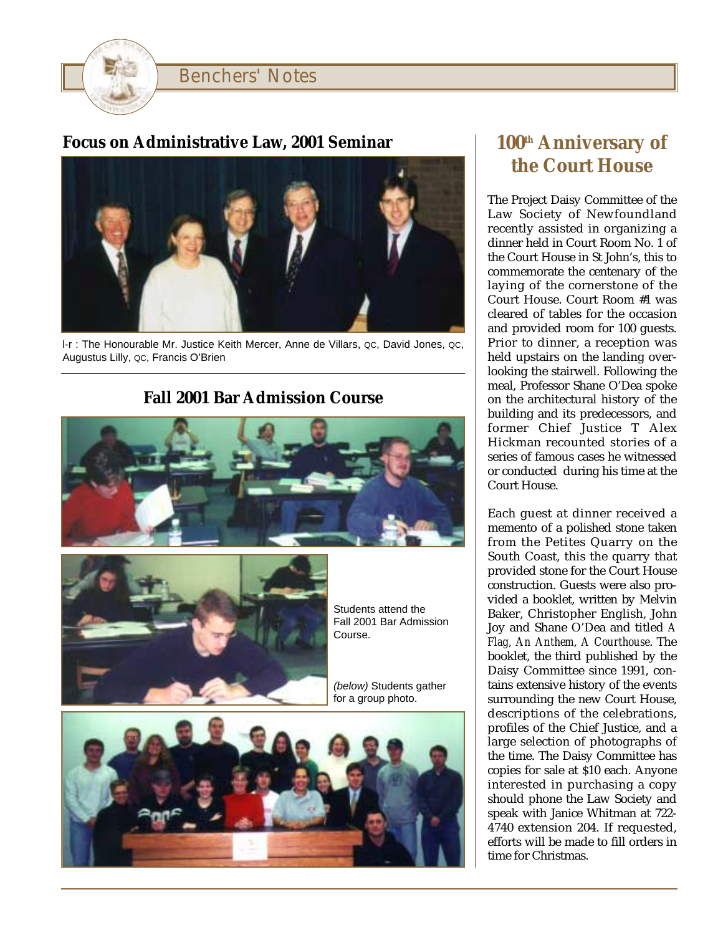

### **Focus on Administrative Law, 2001 Seminar**



l-r : The Honourable Mr. Justice Keith Mercer, Anne de Villars, QC, David Jones, QC, Augustus Lilly, QC, Francis O'Brien

## **Fall 2001 Bar Admission Course**





Students attend the Fall 2001 Bar Admission Course.

(below) Students gather for a group photo.



## **100th Anniversary of the Court House**

The Project Daisy Committee of the Law Society of Newfoundland recently assisted in organizing a dinner held in Court Room No. 1 of the Court House in St John's, this to commemorate the centenary of the laying of the cornerstone of the Court House. Court Room #1 was cleared of tables for the occasion and provided room for 100 guests. Prior to dinner, a reception was held upstairs on the landing overlooking the stairwell. Following the meal, Professor Shane O'Dea spoke on the architectural history of the building and its predecessors, and former Chief Justice T Alex Hickman recounted stories of a series of famous cases he witnessed or conducted during his time at the Court House.

Each guest at dinner received a memento of a polished stone taken from the Petites Quarry on the South Coast, this the quarry that provided stone for the Court House construction. Guests were also provided a booklet, written by Melvin Baker, Christopher English, John Joy and Shane O'Dea and titled *A Flag, An Anthem, A Courthouse*. The booklet, the third published by the Daisy Committee since 1991, contains extensive history of the events surrounding the new Court House, descriptions of the celebrations, profiles of the Chief Justice, and a large selection of photographs of the time. The Daisy Committee has copies for sale at \$10 each. Anyone interested in purchasing a copy should phone the Law Society and speak with Janice Whitman at 722- 4740 extension 204. If requested, efforts will be made to fill orders in time for Christmas.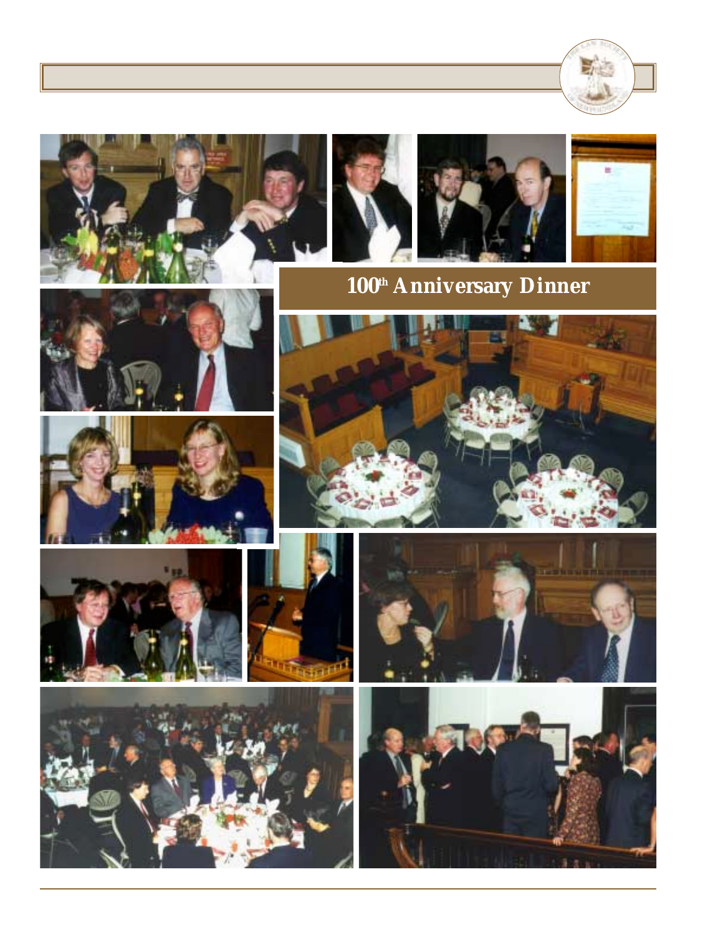





























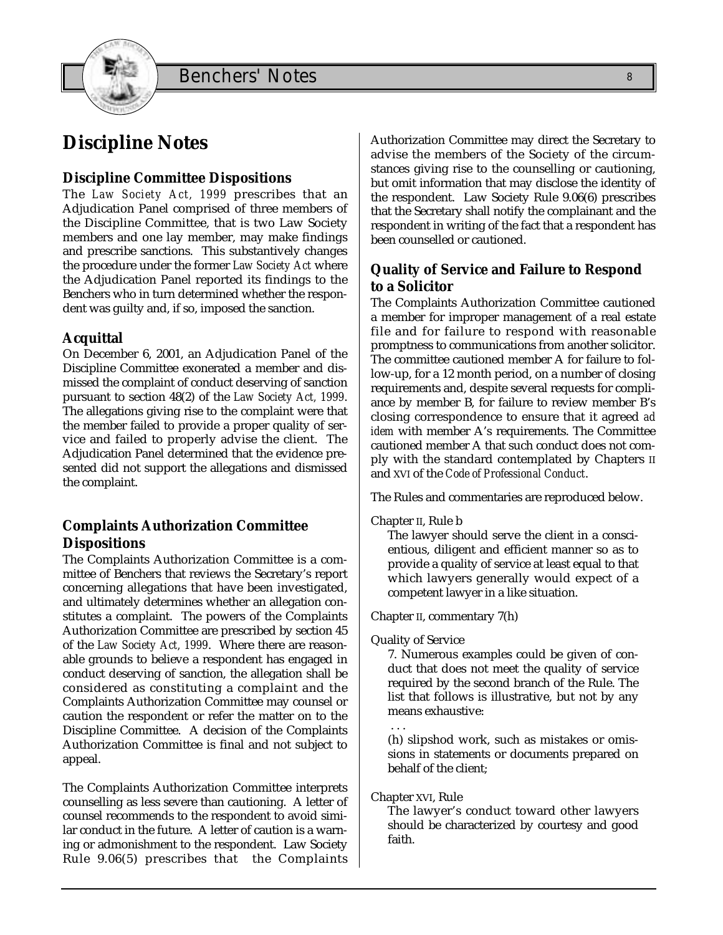

## **Discipline Notes**

#### **Discipline Committee Dispositions**

The *Law Society Act, 1999* prescribes that an Adjudication Panel comprised of three members of the Discipline Committee, that is two Law Society members and one lay member, may make findings and prescribe sanctions. This substantively changes the procedure under the former *Law Society Act* where the Adjudication Panel reported its findings to the Benchers who in turn determined whether the respondent was guilty and, if so, imposed the sanction.

#### **Acquittal**

On December 6, 2001, an Adjudication Panel of the Discipline Committee exonerated a member and dismissed the complaint of conduct deserving of sanction pursuant to section 48(2) of the *Law Society Act, 1999*. The allegations giving rise to the complaint were that the member failed to provide a proper quality of service and failed to properly advise the client. The Adjudication Panel determined that the evidence presented did not support the allegations and dismissed the complaint.

#### **Complaints Authorization Committee Dispositions**

The Complaints Authorization Committee is a committee of Benchers that reviews the Secretary's report concerning allegations that have been investigated, and ultimately determines whether an allegation constitutes a complaint. The powers of the Complaints Authorization Committee are prescribed by section 45 of the *Law Society Act, 1999*. Where there are reasonable grounds to believe a respondent has engaged in conduct deserving of sanction, the allegation shall be considered as constituting a complaint and the Complaints Authorization Committee may counsel or caution the respondent or refer the matter on to the Discipline Committee. A decision of the Complaints Authorization Committee is final and not subject to appeal.

The Complaints Authorization Committee interprets counselling as less severe than cautioning. A letter of counsel recommends to the respondent to avoid similar conduct in the future. A letter of caution is a warning or admonishment to the respondent. Law Society Rule 9.06(5) prescribes that the Complaints

Authorization Committee may direct the Secretary to advise the members of the Society of the circumstances giving rise to the counselling or cautioning, but omit information that may disclose the identity of the respondent. Law Society Rule 9.06(6) prescribes that the Secretary shall notify the complainant and the respondent in writing of the fact that a respondent has been counselled or cautioned.

#### **Quality of Service and Failure to Respond to a Solicitor**

The Complaints Authorization Committee cautioned a member for improper management of a real estate file and for failure to respond with reasonable promptness to communications from another solicitor. The committee cautioned member A for failure to follow-up, for a 12 month period, on a number of closing requirements and, despite several requests for compliance by member B, for failure to review member B's closing correspondence to ensure that it agreed *ad idem* with member A's requirements. The Committee cautioned member A that such conduct does not comply with the standard contemplated by Chapters II and XVI of the *Code of Professional Conduct*.

The Rules and commentaries are reproduced below.

Chapter II, Rule b

The lawyer should serve the client in a conscientious, diligent and efficient manner so as to provide a quality of service at least equal to that which lawyers generally would expect of a competent lawyer in a like situation.

Chapter II, commentary 7(h)

Quality of Service

7. Numerous examples could be given of conduct that does not meet the quality of service required by the second branch of the Rule. The list that follows is illustrative, but not by any means exhaustive:

. . . (h) slipshod work, such as mistakes or omissions in statements or documents prepared on behalf of the client;

Chapter XVI, Rule

The lawyer's conduct toward other lawyers should be characterized by courtesy and good faith.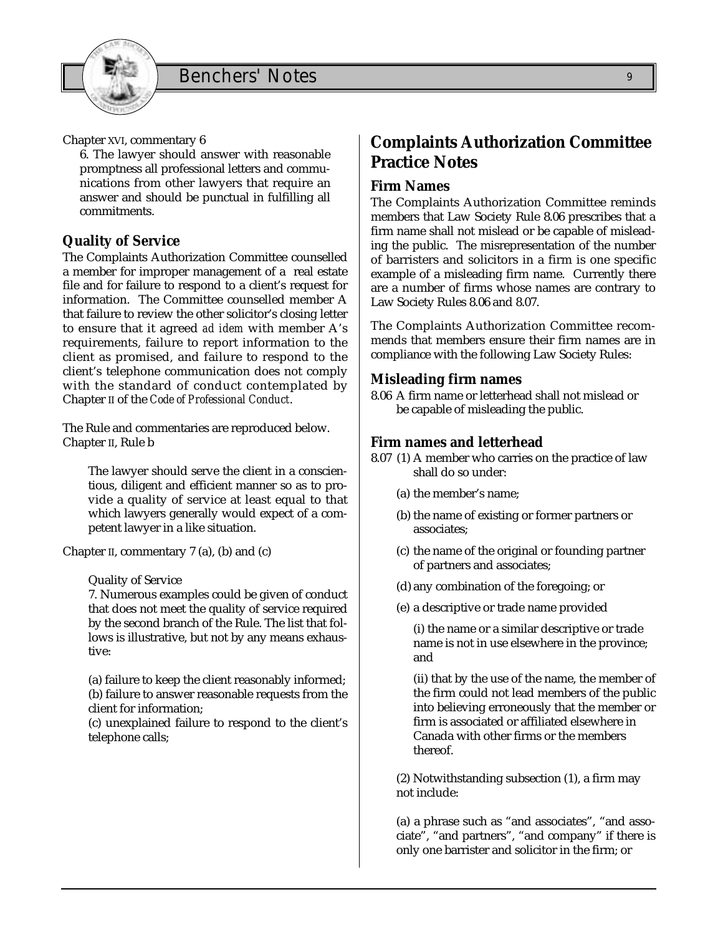

6. The lawyer should answer with reasonable promptness all professional letters and communications from other lawyers that require an answer and should be punctual in fulfilling all commitments.

#### **Quality of Service**

The Complaints Authorization Committee counselled a member for improper management of a real estate file and for failure to respond to a client's request for information. The Committee counselled member A that failure to review the other solicitor's closing letter to ensure that it agreed *ad idem* with member A's requirements, failure to report information to the client as promised, and failure to respond to the client's telephone communication does not comply with the standard of conduct contemplated by Chapter II of the *Code of Professional Conduct*.

The Rule and commentaries are reproduced below. Chapter II, Rule b

The lawyer should serve the client in a conscientious, diligent and efficient manner so as to provide a quality of service at least equal to that which lawyers generally would expect of a competent lawyer in a like situation.

Chapter II, commentary 7 (a), (b) and (c)

Quality of Service

7. Numerous examples could be given of conduct that does not meet the quality of service required by the second branch of the Rule. The list that follows is illustrative, but not by any means exhaustive:

(a) failure to keep the client reasonably informed; (b) failure to answer reasonable requests from the client for information;

(c) unexplained failure to respond to the client's telephone calls;

## **Complaints Authorization Committee Practice Notes**

#### **Firm Names**

The Complaints Authorization Committee reminds members that Law Society Rule 8.06 prescribes that a firm name shall not mislead or be capable of misleading the public. The misrepresentation of the number of barristers and solicitors in a firm is one specific example of a misleading firm name. Currently there are a number of firms whose names are contrary to Law Society Rules 8.06 and 8.07.

The Complaints Authorization Committee recommends that members ensure their firm names are in compliance with the following Law Society Rules:

#### **Misleading firm names**

8.06 A firm name or letterhead shall not mislead or be capable of misleading the public.

#### **Firm names and letterhead**

- 8.07 (1) A member who carries on the practice of law shall do so under:
	- (a) the member's name;
	- (b) the name of existing or former partners or associates;
	- (c) the name of the original or founding partner of partners and associates;
	- (d) any combination of the foregoing; or
	- (e) a descriptive or trade name provided

(i) the name or a similar descriptive or trade name is not in use elsewhere in the province; and

(ii) that by the use of the name, the member of the firm could not lead members of the public into believing erroneously that the member or firm is associated or affiliated elsewhere in Canada with other firms or the members thereof.

(2) Notwithstanding subsection (1), a firm may not include:

(a) a phrase such as "and associates", "and associate", "and partners", "and company" if there is only one barrister and solicitor in the firm; or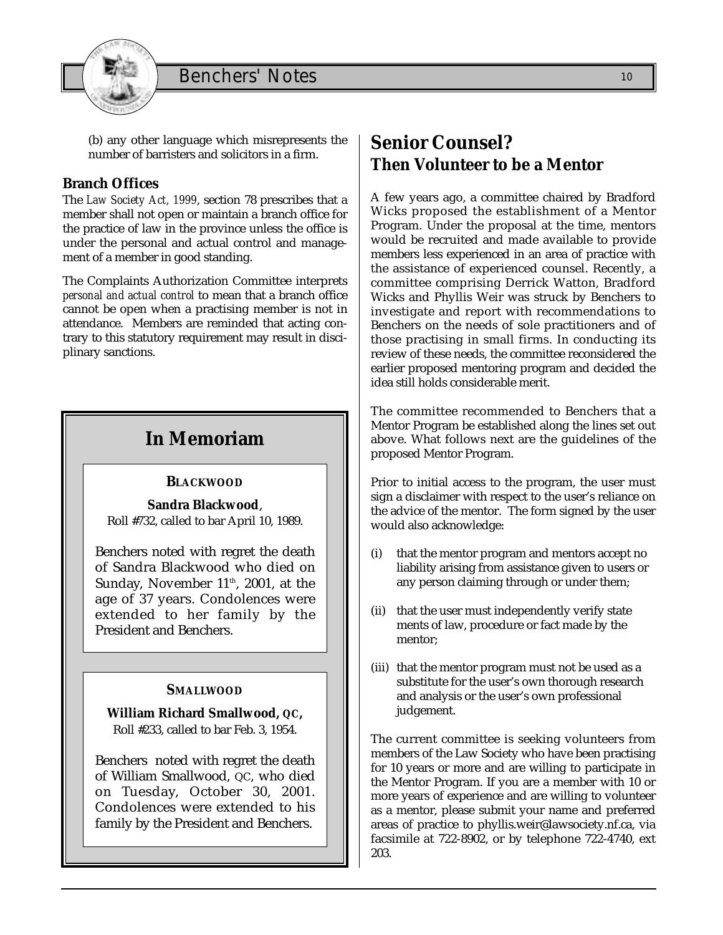

(b) any other language which misrepresents the number of barristers and solicitors in a firm.

#### **Branch Offices**

The *Law Society Act, 1999*, section 78 prescribes that a member shall not open or maintain a branch office for the practice of law in the province unless the office is under the personal and actual control and management of a member in good standing.

The Complaints Authorization Committee interprets *personal and actual control* to mean that a branch office cannot be open when a practising member is not in attendance. Members are reminded that acting contrary to this statutory requirement may result in disciplinary sanctions.

## **In Memoriam**

#### **BLACKWOOD**

**Sandra Blackwood**, Roll #732, called to bar April 10, 1989.

Benchers noted with regret the death of Sandra Blackwood who died on Sunday, November 11<sup>th</sup>, 2001, at the age of 37 years. Condolences were extended to her family by the President and Benchers.

#### **SMALLWOOD**

**William Richard Smallwood, QC,** Roll #233, called to bar Feb. 3, 1954.

Benchers noted with regret the death of William Smallwood, QC, who died on Tuesday, October 30, 2001. Condolences were extended to his family by the President and Benchers.

## **Senior Counsel? Then Volunteer to be a Mentor**

A few years ago, a committee chaired by Bradford Wicks proposed the establishment of a Mentor Program. Under the proposal at the time, mentors would be recruited and made available to provide members less experienced in an area of practice with the assistance of experienced counsel. Recently, a committee comprising Derrick Watton, Bradford Wicks and Phyllis Weir was struck by Benchers to investigate and report with recommendations to Benchers on the needs of sole practitioners and of those practising in small firms. In conducting its review of these needs, the committee reconsidered the earlier proposed mentoring program and decided the idea still holds considerable merit.

The committee recommended to Benchers that a Mentor Program be established along the lines set out above. What follows next are the guidelines of the proposed Mentor Program.

Prior to initial access to the program, the user must sign a disclaimer with respect to the user's reliance on the advice of the mentor. The form signed by the user would also acknowledge:

- (i) that the mentor program and mentors accept no liability arising from assistance given to users or any person claiming through or under them;
- (ii) that the user must independently verify state ments of law, procedure or fact made by the mentor;
- (iii) that the mentor program must not be used as a substitute for the user's own thorough research and analysis or the user's own professional judgement.

The current committee is seeking volunteers from members of the Law Society who have been practising for 10 years or more and are willing to participate in the Mentor Program. If you are a member with 10 or more years of experience and are willing to volunteer as a mentor, please submit your name and preferred areas of practice to phyllis.weir@lawsociety.nf.ca, via facsimile at 722-8902, or by telephone 722-4740, ext 203.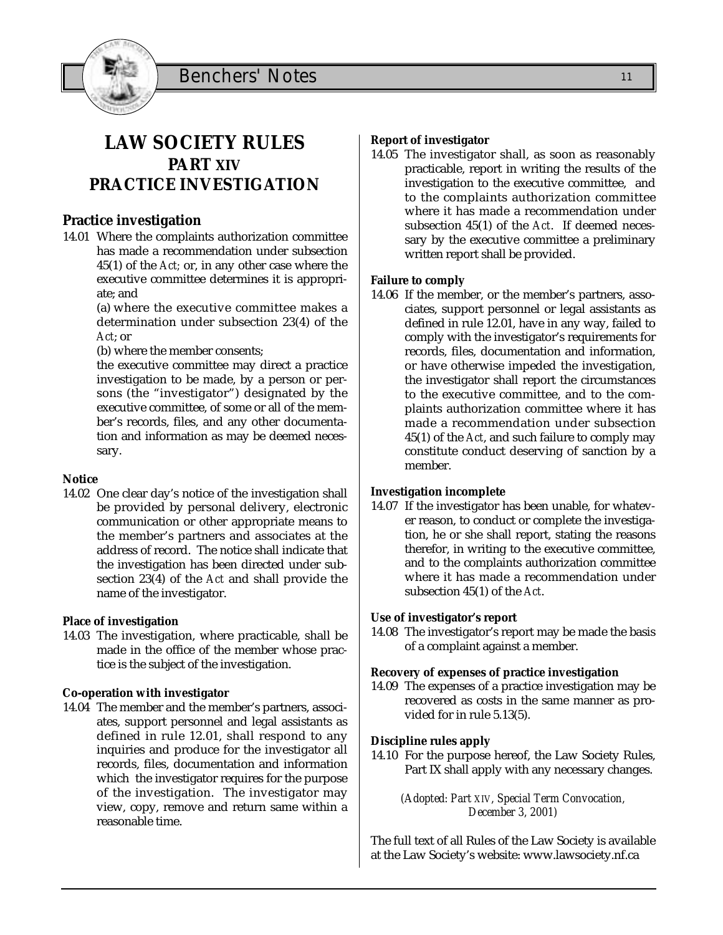

## **LAW SOCIETY RULES PART XIV PRACTICE INVESTIGATION**

#### **Practice investigation**

14.01 Where the complaints authorization committee has made a recommendation under subsection 45(1) of the *Act;* or, in any other case where the executive committee determines it is appropriate; and

> (a) where the executive committee makes a determination under subsection 23(4) of the *Act*; or

(b) where the member consents;

the executive committee may direct a practice investigation to be made, by a person or persons (the "investigator") designated by the executive committee, of some or all of the member's records, files, and any other documentation and information as may be deemed necessary.

#### **Notice**

14.02 One clear day's notice of the investigation shall be provided by personal delivery, electronic communication or other appropriate means to the member's partners and associates at the address of record. The notice shall indicate that the investigation has been directed under subsection 23(4) of the *Act* and shall provide the name of the investigator.

#### **Place of investigation**

14.03 The investigation, where practicable, shall be made in the office of the member whose practice is the subject of the investigation.

#### **Co-operation with investigator**

14.04 The member and the member's partners, associates, support personnel and legal assistants as defined in rule 12.01, shall respond to any inquiries and produce for the investigator all records, files, documentation and information which the investigator requires for the purpose of the investigation. The investigator may view, copy, remove and return same within a reasonable time.

#### **Report of investigator**

14.05 The investigator shall, as soon as reasonably practicable, report in writing the results of the investigation to the executive committee, and to the complaints authorization committee where it has made a recommendation under subsection 45(1) of the *Act*. If deemed necessary by the executive committee a preliminary written report shall be provided.

#### **Failure to comply**

14.06 If the member, or the member's partners, associates, support personnel or legal assistants as defined in rule 12.01, have in any way, failed to comply with the investigator's requirements for records, files, documentation and information, or have otherwise impeded the investigation, the investigator shall report the circumstances to the executive committee, and to the complaints authorization committee where it has made a recommendation under subsection 45(1) of the *Act*, and such failure to comply may constitute conduct deserving of sanction by a member.

#### **Investigation incomplete**

14.07 If the investigator has been unable, for whatever reason, to conduct or complete the investigation, he or she shall report, stating the reasons therefor, in writing to the executive committee, and to the complaints authorization committee where it has made a recommendation under subsection 45(1) of the *Act*.

#### **Use of investigator's report**

14.08 The investigator's report may be made the basis of a complaint against a member.

#### **Recovery of expenses of practice investigation**

14.09 The expenses of a practice investigation may be recovered as costs in the same manner as provided for in rule 5.13(5).

#### **Discipline rules apply**

14.10 For the purpose hereof, the Law Society Rules, Part IX shall apply with any necessary changes.

> *(Adopted: Part XIV, Special Term Convocation, December 3, 2001)*

The full text of all Rules of the Law Society is available at the Law Society's website: www.lawsociety.nf.ca